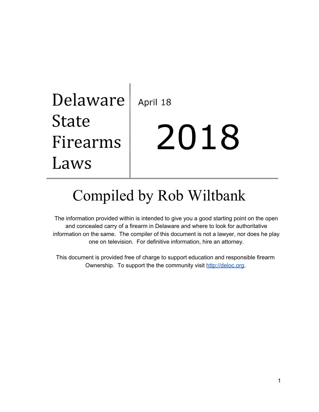# Delaware April 18 **State** 2018 Firearms Laws

# Compiled by Rob Wiltbank

The information provided within is intended to give you a good starting point on the open and concealed carry of a firearm in Delaware and where to look for authoritative information on the same. The compiler of this document is not a lawyer, nor does he play one on television. For definitive information, hire an attorney.

This document is provided free of charge to support education and responsible firearm Ownership. To support the the community visit [http://deloc.org.](http://deloc.org/)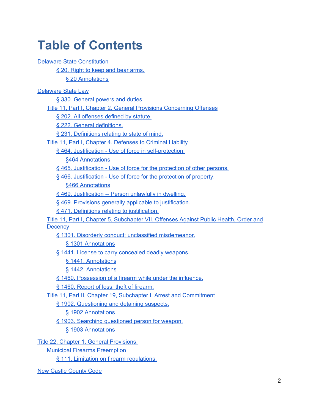# **Table of Contents**

Delaware State [Constitution](#page-3-0) § 20. Right to keep and bear [arms.](#page-3-1) § 20 [Annotations](#page-3-2) [Delaware](#page-3-3) State Law § 330. [General](#page-3-4) powers and duties. Title 11, Part I, Chapter 2. General Provisions [Concerning](#page-4-0) Offenses § 202. All [offenses](#page-4-1) defined by statute. § 222. General [definitions.](#page-4-2) § 231. [Definitions](#page-5-0) relating to state of mind. Title 11, Part I, Chapter 4. [Defenses](#page-6-0) to Criminal Liability § 464. Justification - Use of force in [self-protection.](#page-6-1) §464 [Annotations](#page-7-0) § 465. [Justification](#page-9-0) - Use of force for the protection of other persons. § 466. [Justification](#page-10-0) - Use of force for the protection of property. §466 [Annotations](#page-11-0) § 469. [Justification](#page-12-0) -- Person unlawfully in dwelling. § 469. Provisions generally applicable to [justification.](#page-12-1) § 471. Definitions relating to [justification.](#page-12-2) Title 11, Part I, Chapter 5, [Subchapter](#page-13-0) VII. Offenses Against Public Health, Order and **[Decency](#page-13-0)** § 1301. Disorderly conduct; unclassified [misdemeanor.](#page-13-1) § 1301 [Annotations](#page-14-0) § 1441. License to carry [concealed](#page-14-1) deadly weapons. § 1441. [Annotations](#page-19-0) § 1442. [Annotations](#page-20-0) § 1460. [Possession](#page-24-0) of a firearm while under the influence. § 1460. Report of loss, theft of [firearm.](#page-25-0) Title 11, Part II, Chapter 19, Subchapter I. Arrest and [Commitment](#page-26-0) § 1902. [Questioning](#page-26-1) and detaining suspects. § 1902 [Annotations](#page-26-2) § 1903. Searching [questioned](#page-29-0) person for weapon. § 1903 [Annotations](#page-30-0) Title 22, Chapter 1, General [Provisions.](#page-31-0) Municipal Firearms [Preemption](#page-31-1) § 111. Limitation on firearm [regulations.](#page-31-2) New Castle [County](#page-32-0) Code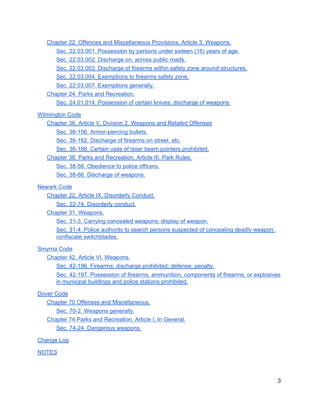Chapter 22. Offences and [Miscellaneous](#page-32-1) Provisions, Article 3. Weapons.

Sec. 22.03.001. [Possession](#page-32-2) by persons under sixteen (16) years of age.

Sec. [22.03.002.](#page-32-3) Discharge on, across public roads.

Sec. [22.03.003.](#page-32-4) Discharge of firearms within safety zone around structures.

Sec. 22.03.004. [Exemptions](#page-33-0) to firearms safety zone.

Sec. 22.03.007. [Exemptions](#page-33-1) generally.

Chapter 24. Parks and [Recreation.](#page-33-2)

Sec. 24.01.014. [Possession](#page-33-3) of certain knives; discharge of weapons.

#### [Wilmington](#page-34-0) Code

Chapter 36, Article V, Division 2. [Weapons](#page-34-1) and Related Offenses

Sec. 36-156. [Armor-piercing](#page-34-2) bullets.

Sec. 36-162. [Discharge](#page-35-0) of firearms on street, etc.

Sec. 36-166. Certain uses of laser beam pointers [prohibited.](#page-35-1)

Chapter 38. Parks and [Recreation,](#page-35-2) Article III. Park Rules.

Sec. 38-58. [Obedience](#page-35-3) to police officers.

Sec. 38-66. [Discharge](#page-35-4) of weapons.

#### [Newark](#page-36-0) Code

Chapter 22, Article IX. [Disorderly](#page-36-1) Conduct.

Sec. 22-74. [Disorderly](#page-36-2) conduct.

Chapter 31, [Weapons.](#page-36-3)

Sec. 31-3. Carrying [concealed](#page-37-0) weapons; display of weapon.

Sec. 31-4. Police authority to search persons suspected of [concealing](#page-37-1) deadly weapon; confiscate [switchblades.](#page-37-1)

#### [Smyrna](#page-37-2) Code

Chapter 42, Article VI. [Weapons.](#page-37-3)

Sec. 42-196. Firearms; discharge [prohibited;](#page-37-4) defense; penalty.

Sec. 42-197. Possession of firearms, ammunition, [components](#page-38-0) of firearms, or explosives in municipal buildings and police stations [prohibited.](#page-38-0)

#### [Dover](#page-39-0) Code

Chapter 70 Offenses and [Miscellaneous.](#page-39-1)

Sec. 70-2. Weapons [generally.](#page-39-2)

Chapter 74 Parks and [Recreation,](#page-41-0) Article I, In General.

Sec. 74-24. [Dangerous](#page-41-1) weapons.

[Change](#page-42-0) Log

**[NOTES](#page-43-0)**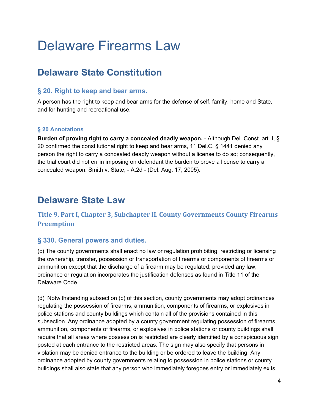# Delaware Firearms Law

# <span id="page-3-0"></span>**Delaware State Constitution**

### <span id="page-3-1"></span>**§ 20. Right to keep and bear arms.**

A person has the right to keep and bear arms for the defense of self, family, home and State, and for hunting and recreational use.

#### <span id="page-3-2"></span>**§ 20 Annotations**

**Burden of proving right to carry a concealed deadly weapon.** - Although Del. Const. art. I, § 20 confirmed the constitutional right to keep and bear arms, 11 Del.C. § 1441 denied any person the right to carry a concealed deadly weapon without a license to do so; consequently, the trial court did not err in imposing on defendant the burden to prove a license to carry a concealed weapon. Smith v. State, - A.2d - (Del. Aug. 17, 2005).

# <span id="page-3-3"></span>**Delaware State Law**

# **Title 9, Part I, Chapter 3, Subchapter II. County Governments County Firearms Preemption**

### <span id="page-3-4"></span>**§ 330. General powers and duties.**

(c) The county governments shall enact no law or regulation prohibiting, restricting or licensing the ownership, transfer, possession or transportation of firearms or components of firearms or ammunition except that the discharge of a firearm may be regulated; provided any law, ordinance or regulation incorporates the justification defenses as found in Title 11 of the Delaware Code.

(d) Notwithstanding subsection (c) of this section, county governments may adopt ordinances regulating the possession of firearms, ammunition, components of firearms, or explosives in police stations and county buildings which contain all of the provisions contained in this subsection. Any ordinance adopted by a county government regulating possession of firearms, ammunition, components of firearms, or explosives in police stations or county buildings shall require that all areas where possession is restricted are clearly identified by a conspicuous sign posted at each entrance to the restricted areas. The sign may also specify that persons in violation may be denied entrance to the building or be ordered to leave the building. Any ordinance adopted by county governments relating to possession in police stations or county buildings shall also state that any person who immediately foregoes entry or immediately exits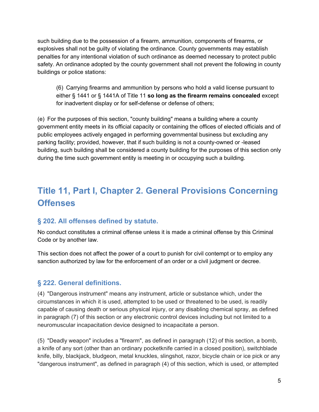such building due to the possession of a firearm, ammunition, components of firearms, or explosives shall not be guilty of violating the ordinance. County governments may establish penalties for any intentional violation of such ordinance as deemed necessary to protect public safety. An ordinance adopted by the county government shall not prevent the following in county buildings or police stations:

(6) Carrying firearms and ammunition by persons who hold a valid license pursuant to either § 1441 or § 1441A of Title 11 **so long as the firearm remains concealed** except for inadvertent display or for self-defense or defense of others;

(e) For the purposes of this section, "county building" means a building where a county government entity meets in its official capacity or containing the offices of elected officials and of public employees actively engaged in performing governmental business but excluding any parking facility; provided, however, that if such building is not a county-owned or -leased building, such building shall be considered a county building for the purposes of this section only during the time such government entity is meeting in or occupying such a building.

# <span id="page-4-0"></span>**Title 11, Part I, Chapter 2. General Provisions Concerning Offenses**

## <span id="page-4-1"></span>**§ 202. All offenses defined by statute.**

No conduct constitutes a criminal offense unless it is made a criminal offense by this Criminal Code or by another law.

This section does not affect the power of a court to punish for civil contempt or to employ any sanction authorized by law for the enforcement of an order or a civil judgment or decree.

## <span id="page-4-2"></span>**§ 222. General definitions.**

(4) "Dangerous instrument" means any instrument, article or substance which, under the circumstances in which it is used, attempted to be used or threatened to be used, is readily capable of causing death or serious physical injury, or any disabling chemical spray, as defined in paragraph (7) of this section or any electronic control devices including but not limited to a neuromuscular incapacitation device designed to incapacitate a person.

(5) "Deadly weapon" includes a "firearm", as defined in paragraph (12) of this section, a bomb, a knife of any sort (other than an ordinary pocketknife carried in a closed position), switchblade knife, billy, blackjack, bludgeon, metal knuckles, slingshot, razor, bicycle chain or ice pick or any "dangerous instrument", as defined in paragraph (4) of this section, which is used, or attempted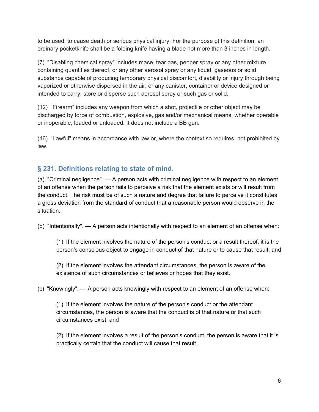to be used, to cause death or serious physical injury. For the purpose of this definition, an ordinary pocketknife shall be a folding knife having a blade not more than 3 inches in length.

(7) "Disabling chemical spray" includes mace, tear gas, pepper spray or any other mixture containing quantities thereof, or any other aerosol spray or any liquid, gaseous or solid substance capable of producing temporary physical discomfort, disability or injury through being vaporized or otherwise dispersed in the air, or any canister, container or device designed or intended to carry, store or disperse such aerosol spray or such gas or solid.

(12) "Firearm" includes any weapon from which a shot, projectile or other object may be discharged by force of combustion, explosive, gas and/or mechanical means, whether operable or inoperable, loaded or unloaded. It does not include a BB gun.

(16) "Lawful" means in accordance with law or, where the context so requires, not prohibited by law.

# <span id="page-5-0"></span>**§ 231. Definitions relating to state of mind.**

(a) "Criminal negligence". — A person acts with criminal negligence with respect to an element of an offense when the person fails to perceive a risk that the element exists or will result from the conduct. The risk must be of such a nature and degree that failure to perceive it constitutes a gross deviation from the standard of conduct that a reasonable person would observe in the situation.

(b) "Intentionally". — A person acts intentionally with respect to an element of an offense when:

(1) If the element involves the nature of the person's conduct or a result thereof, it is the person's conscious object to engage in conduct of that nature or to cause that result; and

(2) If the element involves the attendant circumstances, the person is aware of the existence of such circumstances or believes or hopes that they exist.

(c) "Knowingly". — A person acts knowingly with respect to an element of an offense when:

(1) If the element involves the nature of the person's conduct or the attendant circumstances, the person is aware that the conduct is of that nature or that such circumstances exist; and

(2) If the element involves a result of the person's conduct, the person is aware that it is practically certain that the conduct will cause that result.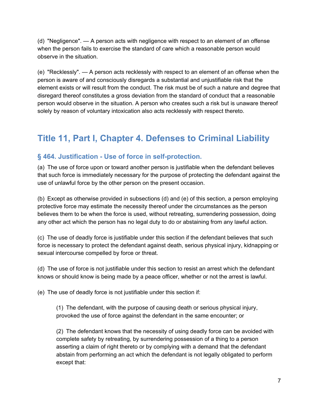(d) "Negligence". — A person acts with negligence with respect to an element of an offense when the person fails to exercise the standard of care which a reasonable person would observe in the situation.

(e) "Recklessly". — A person acts recklessly with respect to an element of an offense when the person is aware of and consciously disregards a substantial and unjustifiable risk that the element exists or will result from the conduct. The risk must be of such a nature and degree that disregard thereof constitutes a gross deviation from the standard of conduct that a reasonable person would observe in the situation. A person who creates such a risk but is unaware thereof solely by reason of voluntary intoxication also acts recklessly with respect thereto.

# <span id="page-6-0"></span>**Title 11, Part I, Chapter 4. Defenses to Criminal Liability**

## <span id="page-6-1"></span>**§ 464. Justification - Use of force in self-protection.**

(a) The use of force upon or toward another person is justifiable when the defendant believes that such force is immediately necessary for the purpose of protecting the defendant against the use of unlawful force by the other person on the present occasion.

(b) Except as otherwise provided in subsections (d) and (e) of this section, a person employing protective force may estimate the necessity thereof under the circumstances as the person believes them to be when the force is used, without retreating, surrendering possession, doing any other act which the person has no legal duty to do or abstaining from any lawful action.

(c) The use of deadly force is justifiable under this section if the defendant believes that such force is necessary to protect the defendant against death, serious physical injury, kidnapping or sexual intercourse compelled by force or threat.

(d) The use of force is not justifiable under this section to resist an arrest which the defendant knows or should know is being made by a peace officer, whether or not the arrest is lawful.

(e) The use of deadly force is not justifiable under this section if:

(1) The defendant, with the purpose of causing death or serious physical injury, provoked the use of force against the defendant in the same encounter; or

(2) The defendant knows that the necessity of using deadly force can be avoided with complete safety by retreating, by surrendering possession of a thing to a person asserting a claim of right thereto or by complying with a demand that the defendant abstain from performing an act which the defendant is not legally obligated to perform except that: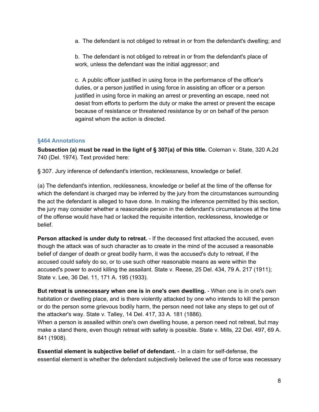a. The defendant is not obliged to retreat in or from the defendant's dwelling; and

b. The defendant is not obliged to retreat in or from the defendant's place of work, unless the defendant was the initial aggressor; and

c. A public officer justified in using force in the performance of the officer's duties, or a person justified in using force in assisting an officer or a person justified in using force in making an arrest or preventing an escape, need not desist from efforts to perform the duty or make the arrest or prevent the escape because of resistance or threatened resistance by or on behalf of the person against whom the action is directed.

#### <span id="page-7-0"></span>**§464 Annotations**

**Subsection (a) must be read in the light of § 307(a) of this title.** Coleman v. State, 320 A.2d 740 (Del. 1974). Text provided here:

§ 307. Jury inference of defendant's intention, recklessness, knowledge or belief.

(a) The defendant's intention, recklessness, knowledge or belief at the time of the offense for which the defendant is charged may be inferred by the jury from the circumstances surrounding the act the defendant is alleged to have done. In making the inference permitted by this section, the jury may consider whether a reasonable person in the defendant's circumstances at the time of the offense would have had or lacked the requisite intention, recklessness, knowledge or belief.

**Person attacked is under duty to retreat.** - If the deceased first attacked the accused, even though the attack was of such character as to create in the mind of the accused a reasonable belief of danger of death or great bodily harm, it was the accused's duty to retreat, if the accused could safely do so, or to use such other reasonable means as were within the accused's power to avoid killing the assailant. State v. Reese, 25 Del. 434, 79 A. 217 (1911); State v. Lee, 36 Del. 11, 171 A. 195 (1933).

**But retreat is unnecessary when one is in one's own dwelling.** - When one is in one's own habitation or dwelling place, and is there violently attacked by one who intends to kill the person or do the person some grievous bodily harm, the person need not take any steps to get out of the attacker's way. State v. Talley, 14 Del. 417, 33 A. 181 (1886).

When a person is assailed within one's own dwelling house, a person need not retreat, but may make a stand there, even though retreat with safety is possible. State v. Mills, 22 Del. 497, 69 A. 841 (1908).

**Essential element is subjective belief of defendant.** - In a claim for self-defense, the essential element is whether the defendant subjectively believed the use of force was necessary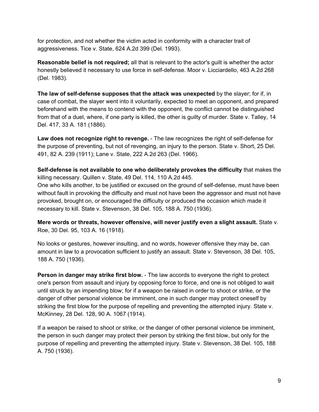for protection, and not whether the victim acted in conformity with a character trait of aggressiveness. Tice v. State, 624 A.2d 399 (Del. 1993).

**Reasonable belief is not required;** all that is relevant to the actor's guilt is whether the actor honestly believed it necessary to use force in self-defense. Moor v. Licciardello, 463 A.2d 268 (Del. 1983).

**The law of self-defense supposes that the attack was unexpected** by the slayer; for if, in case of combat, the slayer went into it voluntarily, expected to meet an opponent, and prepared beforehand with the means to contend with the opponent, the conflict cannot be distinguished from that of a duel, where, if one party is killed, the other is guilty of murder. State v. Talley, 14 Del. 417, 33 A. 181 (1886).

**Law does not recognize right to revenge.** - The law recognizes the right of self-defense for the purpose of preventing, but not of revenging, an injury to the person. State v. Short, 25 Del. 491, 82 A. 239 (1911); Lane v. State, 222 A.2d 263 (Del. 1966).

**Self-defense is not available to one who deliberately provokes the difficulty** that makes the killing necessary. Quillen v. State, 49 Del. 114, 110 A.2d 445.

One who kills another, to be justified or excused on the ground of self-defense, must have been without fault in provoking the difficulty and must not have been the aggressor and must not have provoked, brought on, or encouraged the difficulty or produced the occasion which made it necessary to kill. State v. Stevenson, 38 Del. 105, 188 A. 750 (1936).

**Mere words or threats, however offensive, will never justify even a slight assault.** State v. Roe, 30 Del. 95, 103 A. 16 (1918).

No looks or gestures, however insulting, and no words, however offensive they may be, can amount in law to a provocation sufficient to justify an assault. State v. Stevenson, 38 Del. 105, 188 A. 750 (1936).

**Person in danger may strike first blow.** - The law accords to everyone the right to protect one's person from assault and injury by opposing force to force, and one is not obliged to wait until struck by an impending blow; for if a weapon be raised in order to shoot or strike, or the danger of other personal violence be imminent, one in such danger may protect oneself by striking the first blow for the purpose of repelling and preventing the attempted injury. State v. McKinney, 28 Del. 128, 90 A. 1067 (1914).

If a weapon be raised to shoot or strike, or the danger of other personal violence be imminent, the person in such danger may protect their person by striking the first blow, but only for the purpose of repelling and preventing the attempted injury. State v. Stevenson, 38 Del. 105, 188 A. 750 (1936).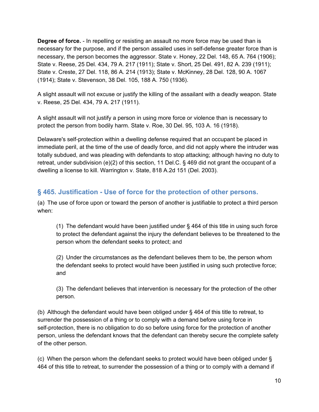**Degree of force.** - In repelling or resisting an assault no more force may be used than is necessary for the purpose, and if the person assailed uses in self-defense greater force than is necessary, the person becomes the aggressor. State v. Honey, 22 Del. 148, 65 A. 764 (1906); State v. Reese, 25 Del. 434, 79 A. 217 (1911); State v. Short, 25 Del. 491, 82 A. 239 (1911); State v. Creste, 27 Del. 118, 86 A. 214 (1913); State v. McKinney, 28 Del. 128, 90 A. 1067 (1914); State v. Stevenson, 38 Del. 105, 188 A. 750 (1936).

A slight assault will not excuse or justify the killing of the assailant with a deadly weapon. State v. Reese, 25 Del. 434, 79 A. 217 (1911).

A slight assault will not justify a person in using more force or violence than is necessary to protect the person from bodily harm. State v. Roe, 30 Del. 95, 103 A. 16 (1918).

Delaware's self-protection within a dwelling defense required that an occupant be placed in immediate peril, at the time of the use of deadly force, and did not apply where the intruder was totally subdued, and was pleading with defendants to stop attacking; although having no duty to retreat, under subdivision (e)(2) of this section, 11 Del.C. § 469 did not grant the occupant of a dwelling a license to kill. Warrington v. State, 818 A.2d 151 (Del. 2003).

# <span id="page-9-0"></span>**§ 465. Justification - Use of force for the protection of other persons.**

(a) The use of force upon or toward the person of another is justifiable to protect a third person when:

(1) The defendant would have been justified under § 464 of this title in using such force to protect the defendant against the injury the defendant believes to be threatened to the person whom the defendant seeks to protect; and

(2) Under the circumstances as the defendant believes them to be, the person whom the defendant seeks to protect would have been justified in using such protective force; and

(3) The defendant believes that intervention is necessary for the protection of the other person.

(b) Although the defendant would have been obliged under § 464 of this title to retreat, to surrender the possession of a thing or to comply with a demand before using force in self-protection, there is no obligation to do so before using force for the protection of another person, unless the defendant knows that the defendant can thereby secure the complete safety of the other person.

(c) When the person whom the defendant seeks to protect would have been obliged under § 464 of this title to retreat, to surrender the possession of a thing or to comply with a demand if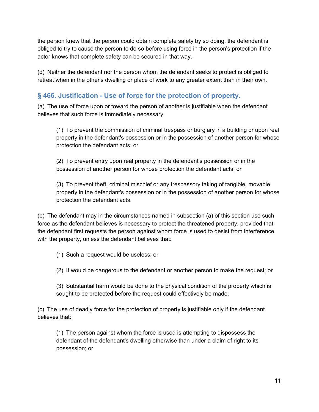the person knew that the person could obtain complete safety by so doing, the defendant is obliged to try to cause the person to do so before using force in the person's protection if the actor knows that complete safety can be secured in that way.

(d) Neither the defendant nor the person whom the defendant seeks to protect is obliged to retreat when in the other's dwelling or place of work to any greater extent than in their own.

# <span id="page-10-0"></span>**§ 466. Justification - Use of force for the protection of property.**

(a) The use of force upon or toward the person of another is justifiable when the defendant believes that such force is immediately necessary:

(1) To prevent the commission of criminal trespass or burglary in a building or upon real property in the defendant's possession or in the possession of another person for whose protection the defendant acts; or

(2) To prevent entry upon real property in the defendant's possession or in the possession of another person for whose protection the defendant acts; or

(3) To prevent theft, criminal mischief or any trespassory taking of tangible, movable property in the defendant's possession or in the possession of another person for whose protection the defendant acts.

(b) The defendant may in the circumstances named in subsection (a) of this section use such force as the defendant believes is necessary to protect the threatened property, provided that the defendant first requests the person against whom force is used to desist from interference with the property, unless the defendant believes that:

- (1) Such a request would be useless; or
- (2) It would be dangerous to the defendant or another person to make the request; or

(3) Substantial harm would be done to the physical condition of the property which is sought to be protected before the request could effectively be made.

(c) The use of deadly force for the protection of property is justifiable only if the defendant believes that:

(1) The person against whom the force is used is attempting to dispossess the defendant of the defendant's dwelling otherwise than under a claim of right to its possession; or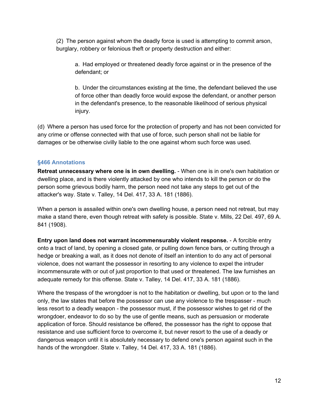(2) The person against whom the deadly force is used is attempting to commit arson, burglary, robbery or felonious theft or property destruction and either:

a. Had employed or threatened deadly force against or in the presence of the defendant; or

b. Under the circumstances existing at the time, the defendant believed the use of force other than deadly force would expose the defendant, or another person in the defendant's presence, to the reasonable likelihood of serious physical injury.

(d) Where a person has used force for the protection of property and has not been convicted for any crime or offense connected with that use of force, such person shall not be liable for damages or be otherwise civilly liable to the one against whom such force was used.

#### <span id="page-11-0"></span>**§466 Annotations**

**Retreat unnecessary where one is in own dwelling.** - When one is in one's own habitation or dwelling place, and is there violently attacked by one who intends to kill the person or do the person some grievous bodily harm, the person need not take any steps to get out of the attacker's way. State v. Talley, 14 Del. 417, 33 A. 181 (1886).

When a person is assailed within one's own dwelling house, a person need not retreat, but may make a stand there, even though retreat with safety is possible. State v. Mills, 22 Del. 497, 69 A. 841 (1908).

**Entry upon land does not warrant incommensurably violent response.** - A forcible entry onto a tract of land, by opening a closed gate, or pulling down fence bars, or cutting through a hedge or breaking a wall, as it does not denote of itself an intention to do any act of personal violence, does not warrant the possessor in resorting to any violence to expel the intruder incommensurate with or out of just proportion to that used or threatened. The law furnishes an adequate remedy for this offense. State v. Talley, 14 Del. 417, 33 A. 181 (1886).

Where the trespass of the wrongdoer is not to the habitation or dwelling, but upon or to the land only, the law states that before the possessor can use any violence to the trespasser - much less resort to a deadly weapon - the possessor must, if the possessor wishes to get rid of the wrongdoer, endeavor to do so by the use of gentle means, such as persuasion or moderate application of force. Should resistance be offered, the possessor has the right to oppose that resistance and use sufficient force to overcome it, but never resort to the use of a deadly or dangerous weapon until it is absolutely necessary to defend one's person against such in the hands of the wrongdoer. State v. Talley, 14 Del. 417, 33 A. 181 (1886).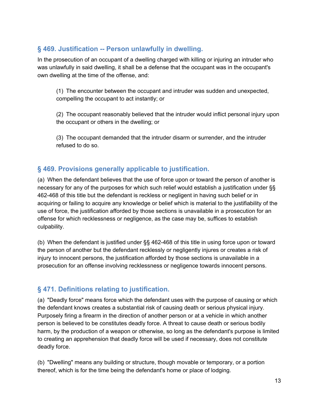# <span id="page-12-0"></span>**§ 469. Justification -- Person unlawfully in dwelling.**

In the prosecution of an occupant of a dwelling charged with killing or injuring an intruder who was unlawfully in said dwelling, it shall be a defense that the occupant was in the occupant's own dwelling at the time of the offense, and:

(1) The encounter between the occupant and intruder was sudden and unexpected, compelling the occupant to act instantly; or

(2) The occupant reasonably believed that the intruder would inflict personal injury upon the occupant or others in the dwelling; or

(3) The occupant demanded that the intruder disarm or surrender, and the intruder refused to do so.

## <span id="page-12-1"></span>**§ 469. Provisions generally applicable to justification.**

(a) When the defendant believes that the use of force upon or toward the person of another is necessary for any of the purposes for which such relief would establish a justification under §§ 462-468 of this title but the defendant is reckless or negligent in having such belief or in acquiring or failing to acquire any knowledge or belief which is material to the justifiability of the use of force, the justification afforded by those sections is unavailable in a prosecution for an offense for which recklessness or negligence, as the case may be, suffices to establish culpability.

(b) When the defendant is justified under §§ 462-468 of this title in using force upon or toward the person of another but the defendant recklessly or negligently injures or creates a risk of injury to innocent persons, the justification afforded by those sections is unavailable in a prosecution for an offense involving recklessness or negligence towards innocent persons.

## <span id="page-12-2"></span>**§ 471. Definitions relating to justification.**

(a) "Deadly force" means force which the defendant uses with the purpose of causing or which the defendant knows creates a substantial risk of causing death or serious physical injury. Purposely firing a firearm in the direction of another person or at a vehicle in which another person is believed to be constitutes deadly force. A threat to cause death or serious bodily harm, by the production of a weapon or otherwise, so long as the defendant's purpose is limited to creating an apprehension that deadly force will be used if necessary, does not constitute deadly force.

(b) "Dwelling" means any building or structure, though movable or temporary, or a portion thereof, which is for the time being the defendant's home or place of lodging.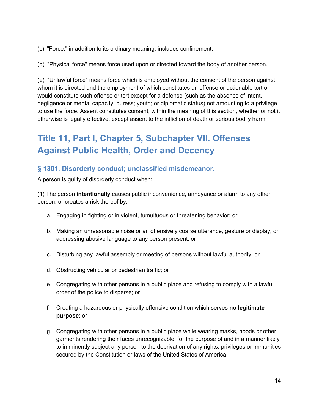- (c) "Force," in addition to its ordinary meaning, includes confinement.
- (d) "Physical force" means force used upon or directed toward the body of another person.

(e) "Unlawful force" means force which is employed without the consent of the person against whom it is directed and the employment of which constitutes an offense or actionable tort or would constitute such offense or tort except for a defense (such as the absence of intent, negligence or mental capacity; duress; youth; or diplomatic status) not amounting to a privilege to use the force. Assent constitutes consent, within the meaning of this section, whether or not it otherwise is legally effective, except assent to the infliction of death or serious bodily harm.

# <span id="page-13-0"></span>**Title 11, Part I, Chapter 5, Subchapter VII. Offenses Against Public Health, Order and Decency**

### <span id="page-13-1"></span>**§ 1301. Disorderly conduct; unclassified misdemeanor.**

A person is guilty of disorderly conduct when:

(1) The person **intentionally** causes public inconvenience, annoyance or alarm to any other person, or creates a risk thereof by:

- a. Engaging in fighting or in violent, tumultuous or threatening behavior; or
- b. Making an unreasonable noise or an offensively coarse utterance, gesture or display, or addressing abusive language to any person present; or
- c. Disturbing any lawful assembly or meeting of persons without lawful authority; or
- d. Obstructing vehicular or pedestrian traffic; or
- e. Congregating with other persons in a public place and refusing to comply with a lawful order of the police to disperse; or
- f. Creating a hazardous or physically offensive condition which serves **no legitimate purpose**; or
- g. Congregating with other persons in a public place while wearing masks, hoods or other garments rendering their faces unrecognizable, for the purpose of and in a manner likely to imminently subject any person to the deprivation of any rights, privileges or immunities secured by the Constitution or laws of the United States of America.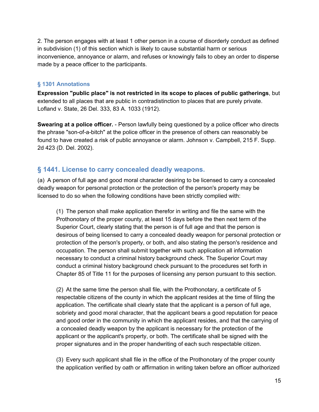2. The person engages with at least 1 other person in a course of disorderly conduct as defined in subdivision (1) of this section which is likely to cause substantial harm or serious inconvenience, annoyance or alarm, and refuses or knowingly fails to obey an order to disperse made by a peace officer to the participants.

#### <span id="page-14-0"></span>**§ 1301 Annotations**

**Expression "public place" is not restricted in its scope to places of public gatherings**, but extended to all places that are public in contradistinction to places that are purely private. Lofland v. State, 26 Del. 333, 83 A. 1033 (1912).

**Swearing at a police officer.** - Person lawfully being questioned by a police officer who directs the phrase "son-of-a-bitch" at the police officer in the presence of others can reasonably be found to have created a risk of public annoyance or alarm. Johnson v. Campbell, 215 F. Supp. 2d 423 (D. Del. 2002).

### <span id="page-14-1"></span>**§ 1441. License to carry concealed deadly weapons.**

(a) A person of full age and good moral character desiring to be licensed to carry a concealed deadly weapon for personal protection or the protection of the person's property may be licensed to do so when the following conditions have been strictly complied with:

(1) The person shall make application therefor in writing and file the same with the Prothonotary of the proper county, at least 15 days before the then next term of the Superior Court, clearly stating that the person is of full age and that the person is desirous of being licensed to carry a concealed deadly weapon for personal protection or protection of the person's property, or both, and also stating the person's residence and occupation. The person shall submit together with such application all information necessary to conduct a criminal history background check. The Superior Court may conduct a criminal history background check pursuant to the procedures set forth in Chapter 85 of Title 11 for the purposes of licensing any person pursuant to this section.

(2) At the same time the person shall file, with the Prothonotary, a certificate of 5 respectable citizens of the county in which the applicant resides at the time of filing the application. The certificate shall clearly state that the applicant is a person of full age, sobriety and good moral character, that the applicant bears a good reputation for peace and good order in the community in which the applicant resides, and that the carrying of a concealed deadly weapon by the applicant is necessary for the protection of the applicant or the applicant's property, or both. The certificate shall be signed with the proper signatures and in the proper handwriting of each such respectable citizen.

(3) Every such applicant shall file in the office of the Prothonotary of the proper county the application verified by oath or affirmation in writing taken before an officer authorized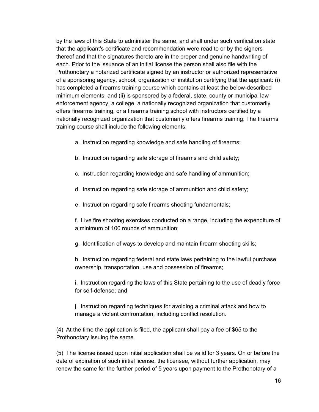by the laws of this State to administer the same, and shall under such verification state that the applicant's certificate and recommendation were read to or by the signers thereof and that the signatures thereto are in the proper and genuine handwriting of each. Prior to the issuance of an initial license the person shall also file with the Prothonotary a notarized certificate signed by an instructor or authorized representative of a sponsoring agency, school, organization or institution certifying that the applicant: (i) has completed a firearms training course which contains at least the below-described minimum elements; and (ii) is sponsored by a federal, state, county or municipal law enforcement agency, a college, a nationally recognized organization that customarily offers firearms training, or a firearms training school with instructors certified by a nationally recognized organization that customarily offers firearms training. The firearms training course shall include the following elements:

- a. Instruction regarding knowledge and safe handling of firearms;
- b. Instruction regarding safe storage of firearms and child safety;
- c. Instruction regarding knowledge and safe handling of ammunition;
- d. Instruction regarding safe storage of ammunition and child safety;
- e. Instruction regarding safe firearms shooting fundamentals;

f. Live fire shooting exercises conducted on a range, including the expenditure of a minimum of 100 rounds of ammunition;

g. Identification of ways to develop and maintain firearm shooting skills;

h. Instruction regarding federal and state laws pertaining to the lawful purchase, ownership, transportation, use and possession of firearms;

i. Instruction regarding the laws of this State pertaining to the use of deadly force for self-defense; and

j. Instruction regarding techniques for avoiding a criminal attack and how to manage a violent confrontation, including conflict resolution.

(4) At the time the application is filed, the applicant shall pay a fee of \$65 to the Prothonotary issuing the same.

(5) The license issued upon initial application shall be valid for 3 years. On or before the date of expiration of such initial license, the licensee, without further application, may renew the same for the further period of 5 years upon payment to the Prothonotary of a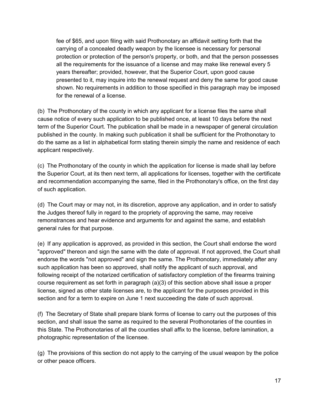fee of \$65, and upon filing with said Prothonotary an affidavit setting forth that the carrying of a concealed deadly weapon by the licensee is necessary for personal protection or protection of the person's property, or both, and that the person possesses all the requirements for the issuance of a license and may make like renewal every 5 years thereafter; provided, however, that the Superior Court, upon good cause presented to it, may inquire into the renewal request and deny the same for good cause shown. No requirements in addition to those specified in this paragraph may be imposed for the renewal of a license.

(b) The Prothonotary of the county in which any applicant for a license files the same shall cause notice of every such application to be published once, at least 10 days before the next term of the Superior Court. The publication shall be made in a newspaper of general circulation published in the county. In making such publication it shall be sufficient for the Prothonotary to do the same as a list in alphabetical form stating therein simply the name and residence of each applicant respectively.

(c) The Prothonotary of the county in which the application for license is made shall lay before the Superior Court, at its then next term, all applications for licenses, together with the certificate and recommendation accompanying the same, filed in the Prothonotary's office, on the first day of such application.

(d) The Court may or may not, in its discretion, approve any application, and in order to satisfy the Judges thereof fully in regard to the propriety of approving the same, may receive remonstrances and hear evidence and arguments for and against the same, and establish general rules for that purpose.

(e) If any application is approved, as provided in this section, the Court shall endorse the word "approved" thereon and sign the same with the date of approval. If not approved, the Court shall endorse the words "not approved" and sign the same. The Prothonotary, immediately after any such application has been so approved, shall notify the applicant of such approval, and following receipt of the notarized certification of satisfactory completion of the firearms training course requirement as set forth in paragraph (a)(3) of this section above shall issue a proper license, signed as other state licenses are, to the applicant for the purposes provided in this section and for a term to expire on June 1 next succeeding the date of such approval.

(f) The Secretary of State shall prepare blank forms of license to carry out the purposes of this section, and shall issue the same as required to the several Prothonotaries of the counties in this State. The Prothonotaries of all the counties shall affix to the license, before lamination, a photographic representation of the licensee.

(g) The provisions of this section do not apply to the carrying of the usual weapon by the police or other peace officers.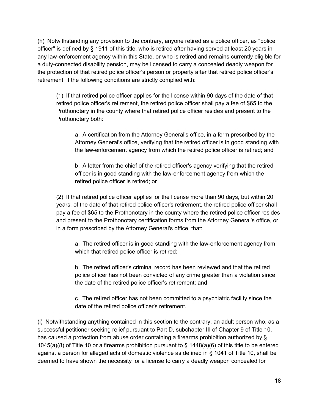(h) Notwithstanding any provision to the contrary, anyone retired as a police officer, as "police officer" is defined by § 1911 of this title, who is retired after having served at least 20 years in any law-enforcement agency within this State, or who is retired and remains currently eligible for a duty-connected disability pension, may be licensed to carry a concealed deadly weapon for the protection of that retired police officer's person or property after that retired police officer's retirement, if the following conditions are strictly complied with:

(1) If that retired police officer applies for the license within 90 days of the date of that retired police officer's retirement, the retired police officer shall pay a fee of \$65 to the Prothonotary in the county where that retired police officer resides and present to the Prothonotary both:

a. A certification from the Attorney General's office, in a form prescribed by the Attorney General's office, verifying that the retired officer is in good standing with the law-enforcement agency from which the retired police officer is retired; and

b. A letter from the chief of the retired officer's agency verifying that the retired officer is in good standing with the law-enforcement agency from which the retired police officer is retired; or

(2) If that retired police officer applies for the license more than 90 days, but within 20 years, of the date of that retired police officer's retirement, the retired police officer shall pay a fee of \$65 to the Prothonotary in the county where the retired police officer resides and present to the Prothonotary certification forms from the Attorney General's office, or in a form prescribed by the Attorney General's office, that:

a. The retired officer is in good standing with the law-enforcement agency from which that retired police officer is retired;

b. The retired officer's criminal record has been reviewed and that the retired police officer has not been convicted of any crime greater than a violation since the date of the retired police officer's retirement; and

c. The retired officer has not been committed to a psychiatric facility since the date of the retired police officer's retirement.

(i) Notwithstanding anything contained in this section to the contrary, an adult person who, as a successful petitioner seeking relief pursuant to Part D, subchapter III of Chapter 9 of Title 10, has caused a protection from abuse order containing a firearms prohibition authorized by § 1045(a)(8) of Title 10 or a firearms prohibition pursuant to § 1448(a)(6) of this title to be entered against a person for alleged acts of domestic violence as defined in § 1041 of Title 10, shall be deemed to have shown the necessity for a license to carry a deadly weapon concealed for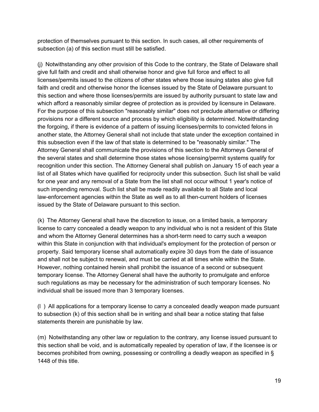protection of themselves pursuant to this section. In such cases, all other requirements of subsection (a) of this section must still be satisfied.

(j) Notwithstanding any other provision of this Code to the contrary, the State of Delaware shall give full faith and credit and shall otherwise honor and give full force and effect to all licenses/permits issued to the citizens of other states where those issuing states also give full faith and credit and otherwise honor the licenses issued by the State of Delaware pursuant to this section and where those licenses/permits are issued by authority pursuant to state law and which afford a reasonably similar degree of protection as is provided by licensure in Delaware. For the purpose of this subsection "reasonably similar" does not preclude alternative or differing provisions nor a different source and process by which eligibility is determined. Notwithstanding the forgoing, if there is evidence of a pattern of issuing licenses/permits to convicted felons in another state, the Attorney General shall not include that state under the exception contained in this subsection even if the law of that state is determined to be "reasonably similar." The Attorney General shall communicate the provisions of this section to the Attorneys General of the several states and shall determine those states whose licensing/permit systems qualify for recognition under this section. The Attorney General shall publish on January 15 of each year a list of all States which have qualified for reciprocity under this subsection. Such list shall be valid for one year and any removal of a State from the list shall not occur without 1 year's notice of such impending removal. Such list shall be made readily available to all State and local law-enforcement agencies within the State as well as to all then-current holders of licenses issued by the State of Delaware pursuant to this section.

(k) The Attorney General shall have the discretion to issue, on a limited basis, a temporary license to carry concealed a deadly weapon to any individual who is not a resident of this State and whom the Attorney General determines has a short-term need to carry such a weapon within this State in conjunction with that individual's employment for the protection of person or property. Said temporary license shall automatically expire 30 days from the date of issuance and shall not be subject to renewal, and must be carried at all times while within the State. However, nothing contained herein shall prohibit the issuance of a second or subsequent temporary license. The Attorney General shall have the authority to promulgate and enforce such regulations as may be necessary for the administration of such temporary licenses. No individual shall be issued more than 3 temporary licenses.

(l ) All applications for a temporary license to carry a concealed deadly weapon made pursuant to subsection (k) of this section shall be in writing and shall bear a notice stating that false statements therein are punishable by law.

(m) Notwithstanding any other law or regulation to the contrary, any license issued pursuant to this section shall be void, and is automatically repealed by operation of law, if the licensee is or becomes prohibited from owning, possessing or controlling a deadly weapon as specified in § 1448 of this title.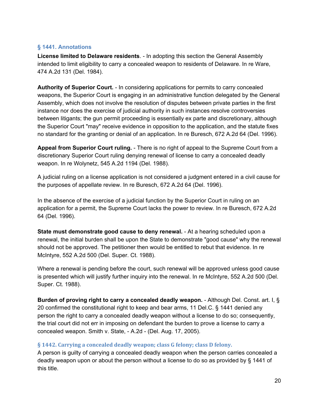#### <span id="page-19-0"></span>**§ 1441. Annotations**

**License limited to Delaware residents**. - In adopting this section the General Assembly intended to limit eligibility to carry a concealed weapon to residents of Delaware. In re Ware, 474 A.2d 131 (Del. 1984).

**Authority of Superior Court.** - In considering applications for permits to carry concealed weapons, the Superior Court is engaging in an administrative function delegated by the General Assembly, which does not involve the resolution of disputes between private parties in the first instance nor does the exercise of judicial authority in such instances resolve controversies between litigants; the gun permit proceeding is essentially ex parte and discretionary, although the Superior Court "may" receive evidence in opposition to the application, and the statute fixes no standard for the granting or denial of an application. In re Buresch, 672 A.2d 64 (Del. 1996).

**Appeal from Superior Court ruling.** - There is no right of appeal to the Supreme Court from a discretionary Superior Court ruling denying renewal of license to carry a concealed deadly weapon. In re Wolynetz, 545 A.2d 1194 (Del. 1988).

A judicial ruling on a license application is not considered a judgment entered in a civil cause for the purposes of appellate review. In re Buresch, 672 A.2d 64 (Del. 1996).

In the absence of the exercise of a judicial function by the Superior Court in ruling on an application for a permit, the Supreme Court lacks the power to review. In re Buresch, 672 A.2d 64 (Del. 1996).

**State must demonstrate good cause to deny renewal.** - At a hearing scheduled upon a renewal, the initial burden shall be upon the State to demonstrate "good cause" why the renewal should not be approved. The petitioner then would be entitled to rebut that evidence. In re McIntyre, 552 A.2d 500 (Del. Super. Ct. 1988).

Where a renewal is pending before the court, such renewal will be approved unless good cause is presented which will justify further inquiry into the renewal. In re McIntyre, 552 A.2d 500 (Del. Super. Ct. 1988).

**Burden of proving right to carry a concealed deadly weapon.** - Although Del. Const. art. I, § 20 confirmed the constitutional right to keep and bear arms, 11 Del.C. § 1441 denied any person the right to carry a concealed deadly weapon without a license to do so; consequently, the trial court did not err in imposing on defendant the burden to prove a license to carry a concealed weapon. Smith v. State, - A.2d - (Del. Aug. 17, 2005).

#### **§ 1442. Carrying a concealed deadly weapon; class G felony; class D felony.**

A person is guilty of carrying a concealed deadly weapon when the person carries concealed a deadly weapon upon or about the person without a license to do so as provided by § 1441 of this title.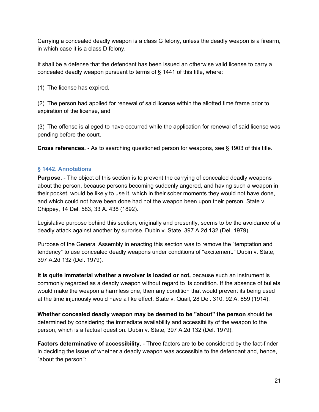Carrying a concealed deadly weapon is a class G felony, unless the deadly weapon is a firearm, in which case it is a class D felony.

It shall be a defense that the defendant has been issued an otherwise valid license to carry a concealed deadly weapon pursuant to terms of § 1441 of this title, where:

(1) The license has expired,

(2) The person had applied for renewal of said license within the allotted time frame prior to expiration of the license, and

(3) The offense is alleged to have occurred while the application for renewal of said license was pending before the court.

**Cross references.** - As to searching questioned person for weapons, see § 1903 of this title.

#### <span id="page-20-0"></span>**§ 1442. Annotations**

**Purpose.** - The object of this section is to prevent the carrying of concealed deadly weapons about the person, because persons becoming suddenly angered, and having such a weapon in their pocket, would be likely to use it, which in their sober moments they would not have done, and which could not have been done had not the weapon been upon their person. State v. Chippey, 14 Del. 583, 33 A. 438 (1892).

Legislative purpose behind this section, originally and presently, seems to be the avoidance of a deadly attack against another by surprise. Dubin v. State, 397 A.2d 132 (Del. 1979).

Purpose of the General Assembly in enacting this section was to remove the "temptation and tendency" to use concealed deadly weapons under conditions of "excitement." Dubin v. State, 397 A.2d 132 (Del. 1979).

**It is quite immaterial whether a revolver is loaded or not,** because such an instrument is commonly regarded as a deadly weapon without regard to its condition. If the absence of bullets would make the weapon a harmless one, then any condition that would prevent its being used at the time injuriously would have a like effect. State v. Quail, 28 Del. 310, 92 A. 859 (1914).

**Whether concealed deadly weapon may be deemed to be "about" the person** should be determined by considering the immediate availability and accessibility of the weapon to the person, which is a factual question. Dubin v. State, 397 A.2d 132 (Del. 1979).

**Factors determinative of accessibility.** - Three factors are to be considered by the fact-finder in deciding the issue of whether a deadly weapon was accessible to the defendant and, hence, "about the person":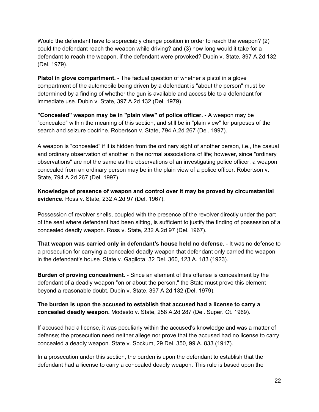Would the defendant have to appreciably change position in order to reach the weapon? (2) could the defendant reach the weapon while driving? and (3) how long would it take for a defendant to reach the weapon, if the defendant were provoked? Dubin v. State, 397 A.2d 132 (Del. 1979).

**Pistol in glove compartment.** - The factual question of whether a pistol in a glove compartment of the automobile being driven by a defendant is "about the person" must be determined by a finding of whether the gun is available and accessible to a defendant for immediate use. Dubin v. State, 397 A.2d 132 (Del. 1979).

**"Concealed" weapon may be in "plain view" of police officer.** - A weapon may be "concealed" within the meaning of this section, and still be in "plain view" for purposes of the search and seizure doctrine. Robertson v. State, 794 A.2d 267 (Del. 1997).

A weapon is "concealed" if it is hidden from the ordinary sight of another person, i.e., the casual and ordinary observation of another in the normal associations of life; however, since "ordinary observations" are not the same as the observations of an investigating police officer, a weapon concealed from an ordinary person may be in the plain view of a police officer. Robertson v. State, 794 A.2d 267 (Del. 1997).

**Knowledge of presence of weapon and control over it may be proved by circumstantial evidence.** Ross v. State, 232 A.2d 97 (Del. 1967).

Possession of revolver shells, coupled with the presence of the revolver directly under the part of the seat where defendant had been sitting, is sufficient to justify the finding of possession of a concealed deadly weapon. Ross v. State, 232 A.2d 97 (Del. 1967).

**That weapon was carried only in defendant's house held no defense.** - It was no defense to a prosecution for carrying a concealed deadly weapon that defendant only carried the weapon in the defendant's house. State v. Gagliota, 32 Del. 360, 123 A. 183 (1923).

**Burden of proving concealment.** - Since an element of this offense is concealment by the defendant of a deadly weapon "on or about the person," the State must prove this element beyond a reasonable doubt. Dubin v. State, 397 A.2d 132 (Del. 1979).

**The burden is upon the accused to establish that accused had a license to carry a concealed deadly weapon.** Modesto v. State, 258 A.2d 287 (Del. Super. Ct. 1969).

If accused had a license, it was peculiarly within the accused's knowledge and was a matter of defense; the prosecution need neither allege nor prove that the accused had no license to carry concealed a deadly weapon. State v. Sockum, 29 Del. 350, 99 A. 833 (1917).

In a prosecution under this section, the burden is upon the defendant to establish that the defendant had a license to carry a concealed deadly weapon. This rule is based upon the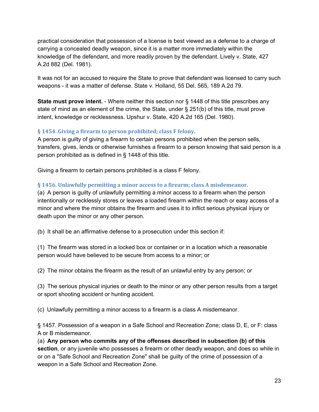practical consideration that possession of a license is best viewed as a defense to a charge of carrying a concealed deadly weapon, since it is a matter more immediately within the knowledge of the defendant, and more readily proven by the defendant. Lively v. State, 427 A.2d 882 (Del. 1981).

It was not for an accused to require the State to prove that defendant was licensed to carry such weapons - it was a matter of defense. State v. Holland, 55 Del. 565, 189 A.2d 79.

**State must prove intent.** - Where neither this section nor § 1448 of this title prescribes any state of mind as an element of the crime, the State, under § 251(b) of this title, must prove intent, knowledge or recklessness. Upshur v. State, 420 A.2d 165 (Del. 1980).

#### **§ 1454. Giving a firearm to person prohibited; class F felony.**

A person is guilty of giving a firearm to certain persons prohibited when the person sells, transfers, gives, lends or otherwise furnishes a firearm to a person knowing that said person is a person prohibited as is defined in § 1448 of this title.

Giving a firearm to certain persons prohibited is a class F felony.

#### **§ 1456. Unlawfully permitting a minor access to a firearm; class A misdemeanor.**

(a) A person is guilty of unlawfully permitting a minor access to a firearm when the person intentionally or recklessly stores or leaves a loaded firearm within the reach or easy access of a minor and where the minor obtains the firearm and uses it to inflict serious physical injury or death upon the minor or any other person.

(b) It shall be an affirmative defense to a prosecution under this section if:

(1) The firearm was stored in a locked box or container or in a location which a reasonable person would have believed to be secure from access to a minor; or

(2) The minor obtains the firearm as the result of an unlawful entry by any person; or

(3) The serious physical injuries or death to the minor or any other person results from a target or sport shooting accident or hunting accident.

(c) Unlawfully permitting a minor access to a firearm is a class A misdemeanor.

§ 1457. Possession of a weapon in a Safe School and Recreation Zone; class D, E, or F: class A or B misdemeanor.

(a) **Any person who commits any of the offenses described in subsection (b) of this section**, or any juvenile who possesses a firearm or other deadly weapon, and does so while in or on a "Safe School and Recreation Zone" shall be guilty of the crime of possession of a weapon in a Safe School and Recreation Zone.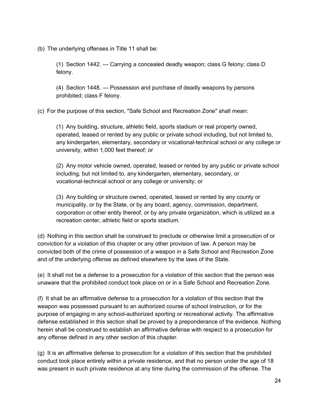(b) The underlying offenses in Title 11 shall be:

(1) Section 1442. — Carrying a concealed deadly weapon; class G felony; class D felony.

(4) Section 1448. — Possession and purchase of deadly weapons by persons prohibited; class F felony.

(c) For the purpose of this section, "Safe School and Recreation Zone" shall mean:

(1) Any building, structure, athletic field, sports stadium or real property owned, operated, leased or rented by any public or private school including, but not limited to, any kindergarten, elementary, secondary or vocational-technical school or any college or university, within 1,000 feet thereof; or

(2) Any motor vehicle owned, operated, leased or rented by any public or private school including, but not limited to, any kindergarten, elementary, secondary, or vocational-technical school or any college or university; or

(3) Any building or structure owned, operated, leased or rented by any county or municipality, or by the State, or by any board, agency, commission, department, corporation or other entity thereof, or by any private organization, which is utilized as a recreation center, athletic field or sports stadium.

(d) Nothing in this section shall be construed to preclude or otherwise limit a prosecution of or conviction for a violation of this chapter or any other provision of law. A person may be convicted both of the crime of possession of a weapon in a Safe School and Recreation Zone and of the underlying offense as defined elsewhere by the laws of the State.

(e) It shall not be a defense to a prosecution for a violation of this section that the person was unaware that the prohibited conduct took place on or in a Safe School and Recreation Zone.

(f) It shall be an affirmative defense to a prosecution for a violation of this section that the weapon was possessed pursuant to an authorized course of school instruction, or for the purpose of engaging in any school-authorized sporting or recreational activity. The affirmative defense established in this section shall be proved by a preponderance of the evidence. Nothing herein shall be construed to establish an affirmative defense with respect to a prosecution for any offense defined in any other section of this chapter.

(g) It is an affirmative defense to prosecution for a violation of this section that the prohibited conduct took place entirely within a private residence, and that no person under the age of 18 was present in such private residence at any time during the commission of the offense. The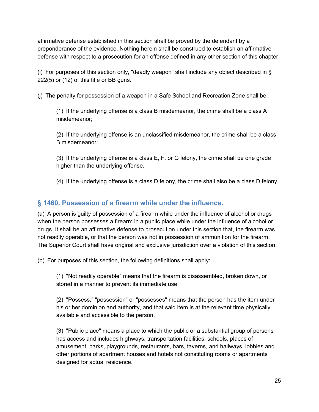affirmative defense established in this section shall be proved by the defendant by a preponderance of the evidence. Nothing herein shall be construed to establish an affirmative defense with respect to a prosecution for an offense defined in any other section of this chapter.

(i) For purposes of this section only, "deadly weapon" shall include any object described in  $\S$ 222(5) or (12) of this title or BB guns.

(j) The penalty for possession of a weapon in a Safe School and Recreation Zone shall be:

(1) If the underlying offense is a class B misdemeanor, the crime shall be a class A misdemeanor;

(2) If the underlying offense is an unclassified misdemeanor, the crime shall be a class B misdemeanor;

(3) If the underlying offense is a class E, F, or G felony, the crime shall be one grade higher than the underlying offense.

(4) If the underlying offense is a class D felony, the crime shall also be a class D felony.

## <span id="page-24-0"></span>**§ 1460. Possession of a firearm while under the influence.**

(a) A person is guilty of possession of a firearm while under the influence of alcohol or drugs when the person possesses a firearm in a public place while under the influence of alcohol or drugs. It shall be an affirmative defense to prosecution under this section that, the firearm was not readily operable, or that the person was not in possession of ammunition for the firearm. The Superior Court shall have original and exclusive jurisdiction over a violation of this section.

(b) For purposes of this section, the following definitions shall apply:

(1) "Not readily operable" means that the firearm is disassembled, broken down, or stored in a manner to prevent its immediate use.

(2) "Possess," "possession" or "possesses" means that the person has the item under his or her dominion and authority, and that said item is at the relevant time physically available and accessible to the person.

(3) "Public place" means a place to which the public or a substantial group of persons has access and includes highways, transportation facilities, schools, places of amusement, parks, playgrounds, restaurants, bars, taverns, and hallways, lobbies and other portions of apartment houses and hotels not constituting rooms or apartments designed for actual residence.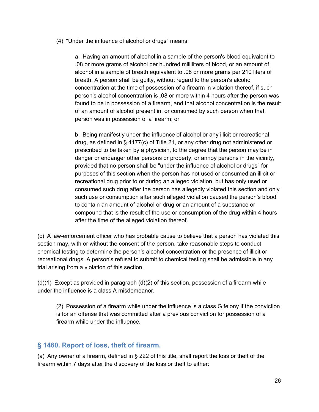(4) "Under the influence of alcohol or drugs" means:

a. Having an amount of alcohol in a sample of the person's blood equivalent to .08 or more grams of alcohol per hundred milliliters of blood, or an amount of alcohol in a sample of breath equivalent to .08 or more grams per 210 liters of breath. A person shall be guilty, without regard to the person's alcohol concentration at the time of possession of a firearm in violation thereof, if such person's alcohol concentration is .08 or more within 4 hours after the person was found to be in possession of a firearm, and that alcohol concentration is the result of an amount of alcohol present in, or consumed by such person when that person was in possession of a firearm; or

b. Being manifestly under the influence of alcohol or any illicit or recreational drug, as defined in § 4177(c) of Title 21, or any other drug not administered or prescribed to be taken by a physician, to the degree that the person may be in danger or endanger other persons or property, or annoy persons in the vicinity, provided that no person shall be "under the influence of alcohol or drugs" for purposes of this section when the person has not used or consumed an illicit or recreational drug prior to or during an alleged violation, but has only used or consumed such drug after the person has allegedly violated this section and only such use or consumption after such alleged violation caused the person's blood to contain an amount of alcohol or drug or an amount of a substance or compound that is the result of the use or consumption of the drug within 4 hours after the time of the alleged violation thereof.

(c) A law-enforcement officer who has probable cause to believe that a person has violated this section may, with or without the consent of the person, take reasonable steps to conduct chemical testing to determine the person's alcohol concentration or the presence of illicit or recreational drugs. A person's refusal to submit to chemical testing shall be admissible in any trial arising from a violation of this section.

(d)(1) Except as provided in paragraph (d)(2) of this section, possession of a firearm while under the influence is a class A misdemeanor.

(2) Possession of a firearm while under the influence is a class G felony if the conviction is for an offense that was committed after a previous conviction for possession of a firearm while under the influence.

## <span id="page-25-0"></span>**§ 1460. Report of loss, theft of firearm.**

(a) Any owner of a firearm, defined in § 222 of this title, shall report the loss or theft of the firearm within 7 days after the discovery of the loss or theft to either: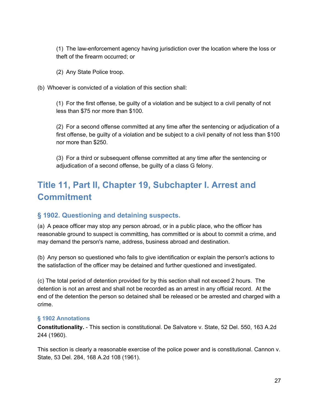(1) The law-enforcement agency having jurisdiction over the location where the loss or theft of the firearm occurred; or

(2) Any State Police troop.

(b) Whoever is convicted of a violation of this section shall:

(1) For the first offense, be guilty of a violation and be subject to a civil penalty of not less than \$75 nor more than \$100.

(2) For a second offense committed at any time after the sentencing or adjudication of a first offense, be guilty of a violation and be subject to a civil penalty of not less than \$100 nor more than \$250.

(3) For a third or subsequent offense committed at any time after the sentencing or adjudication of a second offense, be guilty of a class G felony.

# <span id="page-26-0"></span>**Title 11, Part II, Chapter 19, Subchapter I. Arrest and Commitment**

## <span id="page-26-1"></span>**§ 1902. Questioning and detaining suspects.**

(a) A peace officer may stop any person abroad, or in a public place, who the officer has reasonable ground to suspect is committing, has committed or is about to commit a crime, and may demand the person's name, address, business abroad and destination.

(b) Any person so questioned who fails to give identification or explain the person's actions to the satisfaction of the officer may be detained and further questioned and investigated.

(c) The total period of detention provided for by this section shall not exceed 2 hours. The detention is not an arrest and shall not be recorded as an arrest in any official record. At the end of the detention the person so detained shall be released or be arrested and charged with a crime.

#### <span id="page-26-2"></span>**§ 1902 Annotations**

**Constitutionality.** - This section is constitutional. De Salvatore v. State, 52 Del. 550, 163 A.2d 244 (1960).

This section is clearly a reasonable exercise of the police power and is constitutional. Cannon v. State, 53 Del. 284, 168 A.2d 108 (1961).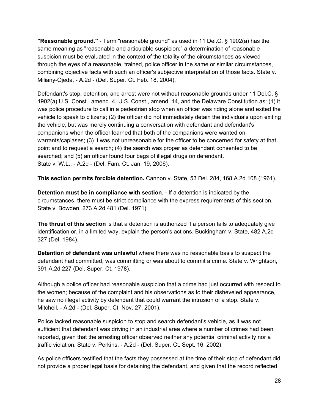**"Reasonable ground."** - Term "reasonable ground" as used in 11 Del.C. § 1902(a) has the same meaning as "reasonable and articulable suspicion;" a determination of reasonable suspicion must be evaluated in the context of the totality of the circumstances as viewed through the eyes of a reasonable, trained, police officer in the same or similar circumstances, combining objective facts with such an officer's subjective interpretation of those facts. State v. Miliany-Ojeda, - A.2d - (Del. Super. Ct. Feb. 18, 2004).

Defendant's stop, detention, and arrest were not without reasonable grounds under 11 Del.C. § 1902(a),U.S. Const., amend. 4, U.S. Const., amend. 14, and the Delaware Constitution as: (1) it was police procedure to call in a pedestrian stop when an officer was riding alone and exited the vehicle to speak to citizens; (2) the officer did not immediately detain the individuals upon exiting the vehicle, but was merely continuing a conversation with defendant and defendant's companions when the officer learned that both of the companions were wanted on warrants/capiases; (3) it was not unreasonable for the officer to be concerned for safety at that point and to request a search; (4) the search was proper as defendant consented to be searched; and (5) an officer found four bags of illegal drugs on defendant. State v. W.L., - A.2d - (Del. Fam. Ct. Jan. 19, 2006).

**This section permits forcible detention.** Cannon v. State, 53 Del. 284, 168 A.2d 108 (1961).

**Detention must be in compliance with section.** - If a detention is indicated by the circumstances, there must be strict compliance with the express requirements of this section. State v. Bowden, 273 A.2d 481 (Del. 1971).

**The thrust of this section** is that a detention is authorized if a person fails to adequately give identification or, in a limited way, explain the person's actions. Buckingham v. State, 482 A.2d 327 (Del. 1984).

**Detention of defendant was unlawful** where there was no reasonable basis to suspect the defendant had committed, was committing or was about to commit a crime. State v. Wrightson, 391 A.2d 227 (Del. Super. Ct. 1978).

Although a police officer had reasonable suspicion that a crime had just occurred with respect to the women; because of the complaint and his observations as to their disheveled appearance, he saw no illegal activity by defendant that could warrant the intrusion of a stop. State v. Mitchell, - A.2d - (Del. Super. Ct. Nov. 27, 2001).

Police lacked reasonable suspicion to stop and search defendant's vehicle, as it was not sufficient that defendant was driving in an industrial area where a number of crimes had been reported, given that the arresting officer observed neither any potential criminal activity nor a traffic violation. State v. Perkins, - A.2d - (Del. Super. Ct. Sept. 16, 2002).

As police officers testified that the facts they possessed at the time of their stop of defendant did not provide a proper legal basis for detaining the defendant, and given that the record reflected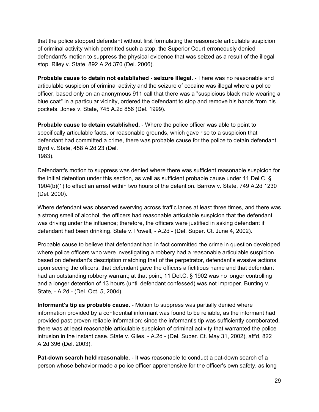that the police stopped defendant without first formulating the reasonable articulable suspicion of criminal activity which permitted such a stop, the Superior Court erroneously denied defendant's motion to suppress the physical evidence that was seized as a result of the illegal stop. Riley v. State, 892 A.2d 370 (Del. 2006).

**Probable cause to detain not established - seizure illegal.** - There was no reasonable and articulable suspicion of criminal activity and the seizure of cocaine was illegal where a police officer, based only on an anonymous 911 call that there was a "suspicious black male wearing a blue coat" in a particular vicinity, ordered the defendant to stop and remove his hands from his pockets. Jones v. State, 745 A.2d 856 (Del. 1999).

**Probable cause to detain established.** - Where the police officer was able to point to specifically articulable facts, or reasonable grounds, which gave rise to a suspicion that defendant had committed a crime, there was probable cause for the police to detain defendant. Byrd v. State, 458 A.2d 23 (Del. 1983).

Defendant's motion to suppress was denied where there was sufficient reasonable suspicion for the initial detention under this section, as well as sufficient probable cause under 11 Del.C. § 1904(b)(1) to effect an arrest within two hours of the detention. Barrow v. State, 749 A.2d 1230 (Del. 2000).

Where defendant was observed swerving across traffic lanes at least three times, and there was a strong smell of alcohol, the officers had reasonable articulable suspicion that the defendant was driving under the influence; therefore, the officers were justified in asking defendant if defendant had been drinking. State v. Powell, - A.2d - (Del. Super. Ct. June 4, 2002).

Probable cause to believe that defendant had in fact committed the crime in question developed where police officers who were investigating a robbery had a reasonable articulable suspicion based on defendant's description matching that of the perpetrator, defendant's evasive actions upon seeing the officers, that defendant gave the officers a fictitious name and that defendant had an outstanding robbery warrant; at that point, 11 Del.C. § 1902 was no longer controlling and a longer detention of 13 hours (until defendant confessed) was not improper. Bunting v. State, - A.2d - (Del. Oct. 5, 2004).

**Informant's tip as probable cause.** - Motion to suppress was partially denied where information provided by a confidential informant was found to be reliable, as the informant had provided past proven reliable information; since the informant's tip was sufficiently corroborated, there was at least reasonable articulable suspicion of criminal activity that warranted the police intrusion in the instant case. State v. Giles, - A.2d - (Del. Super. Ct. May 31, 2002), aff'd, 822 A.2d 396 (Del. 2003).

**Pat-down search held reasonable.** - It was reasonable to conduct a pat-down search of a person whose behavior made a police officer apprehensive for the officer's own safety, as long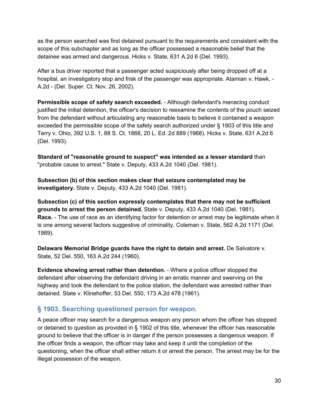as the person searched was first detained pursuant to the requirements and consistent with the scope of this subchapter and as long as the officer possessed a reasonable belief that the detainee was armed and dangerous. Hicks v. State, 631 A.2d 6 (Del. 1993).

After a bus driver reported that a passenger acted suspiciously after being dropped off at a hospital, an investigatory stop and frisk of the passenger was appropriate. Atamian v. Hawk, - A.2d - (Del. Super. Ct. Nov. 26, 2002).

**Permissible scope of safety search exceeded.** - Although defendant's menacing conduct justified the initial detention, the officer's decision to reexamine the contents of the pouch seized from the defendant without articulating any reasonable basis to believe it contained a weapon exceeded the permissible scope of the safety search authorized under § 1903 of this title and Terry v. Ohio, 392 U.S. 1, 88 S. Ct. 1868, 20 L. Ed. 2d 889 (1968). Hicks v. State, 631 A.2d 6 (Del. 1993).

**Standard of "reasonable ground to suspect" was intended as a lesser standard** than "probable cause to arrest." State v. Deputy, 433 A.2d 1040 (Del. 1981).

**Subsection (b) of this section makes clear that seizure contemplated may be investigatory.** State v. Deputy, 433 A.2d 1040 (Del. 1981).

**Subsection (c) of this section expressly contemplates that there may not be sufficient grounds to arrest the person detained.** State v. Deputy, 433 A.2d 1040 (Del. 1981). **Race.** - The use of race as an identifying factor for detention or arrest may be legitimate when it is one among several factors suggestive of criminality. Coleman v. State, 562 A.2d 1171 (Del. 1989).

**Delaware Memorial Bridge guards have the right to detain and arrest.** De Salvatore v. State, 52 Del. 550, 163 A.2d 244 (1960).

**Evidence showing arrest rather than detention.** - Where a police officer stopped the defendant after observing the defendant driving in an erratic manner and swerving on the highway and took the defendant to the police station, the defendant was arrested rather than detained. State v. Klinehoffer, 53 Del. 550, 173 A.2d 478 (1961).

## <span id="page-29-0"></span>**§ 1903. Searching questioned person for weapon.**

A peace officer may search for a dangerous weapon any person whom the officer has stopped or detained to question as provided in § 1902 of this title, whenever the officer has reasonable ground to believe that the officer is in danger if the person possesses a dangerous weapon. If the officer finds a weapon, the officer may take and keep it until the completion of the questioning, when the officer shall either return it or arrest the person. The arrest may be for the illegal possession of the weapon.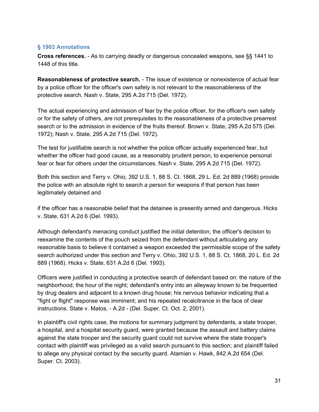#### <span id="page-30-0"></span>**§ 1903 Annotations**

**Cross references.** - As to carrying deadly or dangerous concealed weapons, see §§ 1441 to 1448 of this title.

**Reasonableness of protective search.** - The issue of existence or nonexistence of actual fear by a police officer for the officer's own safety is not relevant to the reasonableness of the protective search. Nash v. State, 295 A.2d 715 (Del. 1972).

The actual experiencing and admission of fear by the police officer, for the officer's own safety or for the safety of others, are not prerequisites to the reasonableness of a protective prearrest search or to the admission in evidence of the fruits thereof. Brown v. State, 295 A.2d 575 (Del. 1972); Nash v. State, 295 A.2d 715 (Del. 1972).

The test for justifiable search is not whether the police officer actually experienced fear, but whether the officer had good cause, as a reasonably prudent person, to experience personal fear or fear for others under the circumstances. Nash v. State, 295 A.2d 715 (Del. 1972).

Both this section and Terry v. Ohio, 392 U.S. 1, 88 S. Ct. 1868, 29 L. Ed. 2d 889 (1968) provide the police with an absolute right to search a person for weapons if that person has been legitimately detained and

if the officer has a reasonable belief that the detainee is presently armed and dangerous. Hicks v. State, 631 A.2d 6 (Del. 1993).

Although defendant's menacing conduct justified the initial detention, the officer's decision to reexamine the contents of the pouch seized from the defendant without articulating any reasonable basis to believe it contained a weapon exceeded the permissible scope of the safety search authorized under this section and Terry v. Ohio, 392 U.S. 1, 88 S. Ct. 1868, 20 L. Ed. 2d 889 (1968). Hicks v. State, 631 A.2d 6 (Del. 1993).

Officers were justified in conducting a protective search of defendant based on: the nature of the neighborhood; the hour of the night; defendant's entry into an alleyway known to be frequented by drug dealers and adjacent to a known drug house; his nervous behavior indicating that a "fight or flight" response was imminent; and his repeated recalcitrance in the face of clear instructions. State v. Matos, - A.2d - (Del. Super. Ct. Oct. 2, 2001).

In plaintiff's civil rights case, the motions for summary judgment by defendants, a state trooper, a hospital, and a hospital security guard, were granted because the assault and battery claims against the state trooper and the security guard could not survive where the state trooper's contact with plaintiff was privileged as a valid search pursuant to this section; and plaintiff failed to allege any physical contact by the security guard. Atamian v. Hawk, 842 A.2d 654 (Del. Super. Ct. 2003).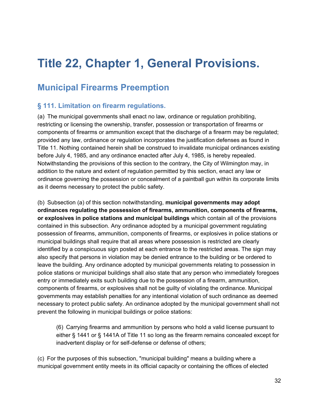# <span id="page-31-0"></span>**Title 22, Chapter 1, General Provisions.**

# <span id="page-31-1"></span>**Municipal Firearms Preemption**

## <span id="page-31-2"></span>**§ 111. Limitation on firearm regulations.**

(a) The municipal governments shall enact no law, ordinance or regulation prohibiting, restricting or licensing the ownership, transfer, possession or transportation of firearms or components of firearms or ammunition except that the discharge of a firearm may be regulated; provided any law, ordinance or regulation incorporates the justification defenses as found in Title 11. Nothing contained herein shall be construed to invalidate municipal ordinances existing before July 4, 1985, and any ordinance enacted after July 4, 1985, is hereby repealed. Notwithstanding the provisions of this section to the contrary, the City of Wilmington may, in addition to the nature and extent of regulation permitted by this section, enact any law or ordinance governing the possession or concealment of a paintball gun within its corporate limits as it deems necessary to protect the public safety.

(b) Subsection (a) of this section notwithstanding, **municipal governments may adopt ordinances regulating the possession of firearms, ammunition, components of firearms, or explosives in police stations and municipal buildings** which contain all of the provisions contained in this subsection. Any ordinance adopted by a municipal government regulating possession of firearms, ammunition, components of firearms, or explosives in police stations or municipal buildings shall require that all areas where possession is restricted are clearly identified by a conspicuous sign posted at each entrance to the restricted areas. The sign may also specify that persons in violation may be denied entrance to the building or be ordered to leave the building. Any ordinance adopted by municipal governments relating to possession in police stations or municipal buildings shall also state that any person who immediately foregoes entry or immediately exits such building due to the possession of a firearm, ammunition, components of firearms, or explosives shall not be guilty of violating the ordinance. Municipal governments may establish penalties for any intentional violation of such ordinance as deemed necessary to protect public safety. An ordinance adopted by the municipal government shall not prevent the following in municipal buildings or police stations:

(6) Carrying firearms and ammunition by persons who hold a valid license pursuant to either § 1441 or § 1441A of Title 11 so long as the firearm remains concealed except for inadvertent display or for self-defense or defense of others;

(c) For the purposes of this subsection, "municipal building" means a building where a municipal government entity meets in its official capacity or containing the offices of elected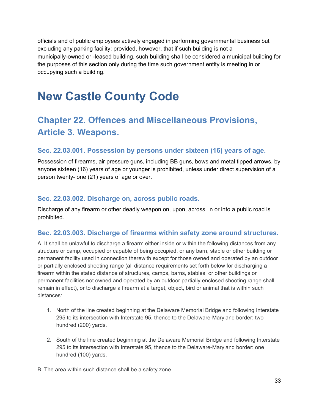officials and of public employees actively engaged in performing governmental business but excluding any parking facility; provided, however, that if such building is not a municipally-owned or -leased building, such building shall be considered a municipal building for the purposes of this section only during the time such government entity is meeting in or occupying such a building.

# <span id="page-32-0"></span>**New Castle County Code**

# <span id="page-32-1"></span>**Chapter 22. Offences and Miscellaneous Provisions, Article 3. Weapons.**

### <span id="page-32-2"></span>**Sec. 22.03.001. Possession by persons under sixteen (16) years of age.**

Possession of firearms, air pressure guns, including BB guns, bows and metal tipped arrows, by anyone sixteen (16) years of age or younger is prohibited, unless under direct supervision of a person twenty- one (21) years of age or over.

### <span id="page-32-3"></span>**Sec. 22.03.002. Discharge on, across public roads.**

Discharge of any firearm or other deadly weapon on, upon, across, in or into a public road is prohibited.

### <span id="page-32-4"></span>**Sec. 22.03.003. Discharge of firearms within safety zone around structures.**

A. It shall be unlawful to discharge a firearm either inside or within the following distances from any structure or camp, occupied or capable of being occupied, or any barn, stable or other building or permanent facility used in connection therewith except for those owned and operated by an outdoor or partially enclosed shooting range (all distance requirements set forth below for discharging a firearm within the stated distance of structures, camps, barns, stables, or other buildings or permanent facilities not owned and operated by an outdoor partially enclosed shooting range shall remain in effect), or to discharge a firearm at a target, object, bird or animal that is within such distances:

- 1. North of the line created beginning at the Delaware Memorial Bridge and following Interstate 295 to its intersection with Interstate 95, thence to the Delaware-Maryland border: two hundred (200) yards.
- 2. South of the line created beginning at the Delaware Memorial Bridge and following Interstate 295 to its intersection with Interstate 95, thence to the Delaware-Maryland border: one hundred (100) yards.
- B. The area within such distance shall be a safety zone.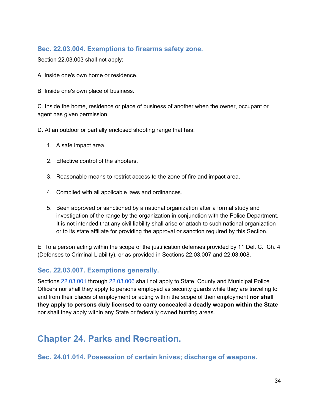## <span id="page-33-0"></span>**Sec. 22.03.004. Exemptions to firearms safety zone.**

Section 22.03.003 shall not apply:

- A. Inside one's own home or residence.
- B. Inside one's own place of business.

C. Inside the home, residence or place of business of another when the owner, occupant or agent has given permission.

D. At an outdoor or partially enclosed shooting range that has:

- 1. A safe impact area.
- 2. Effective control of the shooters.
- 3. Reasonable means to restrict access to the zone of fire and impact area.
- 4. Complied with all applicable laws and ordinances.
- 5. Been approved or sanctioned by a national organization after a formal study and investigation of the range by the organization in conjunction with the Police Department. It is not intended that any civil liability shall arise or attach to such national organization or to its state affiliate for providing the approval or sanction required by this Section.

E. To a person acting within the scope of the justification defenses provided by 11 Del. C. Ch. 4 (Defenses to Criminal Liability), or as provided in Sections 22.03.007 and 22.03.008.

### <span id="page-33-1"></span>**Sec. 22.03.007. Exemptions generally.**

Sections [22.03.001](https://library.municode.com/de/new_castle_county/codes/code_of_ordinances?nodeId=PTIICO_CH22OFMIPR_ART3WE_S22.03.001POPEUNSI16YEAG) through [22.03.006](https://library.municode.com/de/new_castle_county/codes/code_of_ordinances?nodeId=PTIICO_CH22OFMIPR_ART3WE_S22.03.006HUNOCHDECA) shall not apply to State, County and Municipal Police Officers nor shall they apply to persons employed as security guards while they are traveling to and from their places of employment or acting within the scope of their employment **nor shall they apply to persons duly licensed to carry concealed a deadly weapon within the State** nor shall they apply within any State or federally owned hunting areas.

# <span id="page-33-2"></span>**Chapter 24. Parks and Recreation.**

<span id="page-33-3"></span>**Sec. 24.01.014. Possession of certain knives; discharge of weapons.**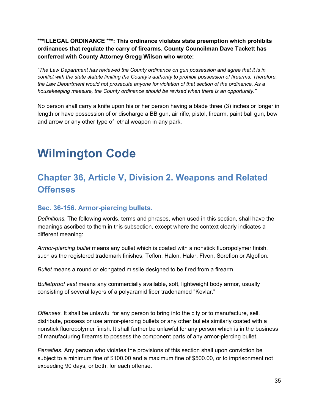**\*\*\*ILLEGAL ORDINANCE \*\*\*: This ordinance violates state preemption which prohibits ordinances that regulate the carry of firearms. County Councilman Dave Tackett has conferred with County Attorney Gregg Wilson who wrote:**

*"The Law Department has reviewed the County ordinance on gun possession and agree that it is in conflict with the state statute limiting the County's authority to prohibit possession of firearms. Therefore, the Law Department would not prosecute anyone for violation of that section of the ordinance. As a housekeeping measure, the County ordinance should be revised when there is an opportunity."*

No person shall carry a knife upon his or her person having a blade three (3) inches or longer in length or have possession of or discharge a BB gun, air rifle, pistol, firearm, paint ball gun, bow and arrow or any other type of lethal weapon in any park.

# <span id="page-34-0"></span>**Wilmington Code**

# <span id="page-34-1"></span>**Chapter 36, Article V, Division 2. Weapons and Related Offenses**

## <span id="page-34-2"></span>**Sec. 36-156. Armor-piercing bullets.**

*Definitions.* The following words, terms and phrases, when used in this section, shall have the meanings ascribed to them in this subsection, except where the context clearly indicates a different meaning:

*Armor-piercing bullet* means any bullet which is coated with a nonstick fluoropolymer finish, such as the registered trademark finishes, Teflon, Halon, Halar, Flvon, Soreflon or Algoflon.

*Bullet* means a round or elongated missile designed to be fired from a firearm.

*Bulletproof vest* means any commercially available, soft, lightweight body armor, usually consisting of several layers of a polyaramid fiber tradenamed "Kevlar."

*Offenses.* It shall be unlawful for any person to bring into the city or to manufacture, sell, distribute, possess or use armor-piercing bullets or any other bullets similarly coated with a nonstick fluoropolymer finish. It shall further be unlawful for any person which is in the business of manufacturing firearms to possess the component parts of any armor-piercing bullet.

*Penalties.* Any person who violates the provisions of this section shall upon conviction be subject to a minimum fine of \$100.00 and a maximum fine of \$500.00, or to imprisonment not exceeding 90 days, or both, for each offense.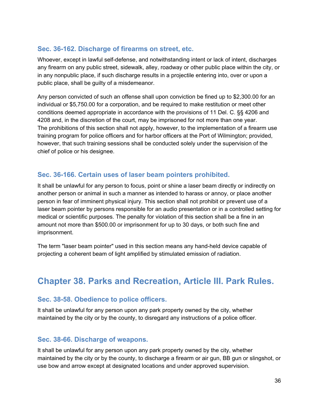## <span id="page-35-0"></span>**Sec. 36-162. Discharge of firearms on street, etc.**

Whoever, except in lawful self-defense, and notwithstanding intent or lack of intent, discharges any firearm on any public street, sidewalk, alley, roadway or other public place within the city, or in any nonpublic place, if such discharge results in a projectile entering into, over or upon a public place, shall be guilty of a misdemeanor.

Any person convicted of such an offense shall upon conviction be fined up to \$2,300.00 for an individual or \$5,750.00 for a corporation, and be required to make restitution or meet other conditions deemed appropriate in accordance with the provisions of 11 Del. C. §§ 4206 and 4208 and, in the discretion of the court, may be imprisoned for not more than one year. The prohibitions of this section shall not apply, however, to the implementation of a firearm use training program for police officers and for harbor officers at the Port of Wilmington; provided, however, that such training sessions shall be conducted solely under the supervision of the chief of police or his designee.

### <span id="page-35-1"></span>**Sec. 36-166. Certain uses of laser beam pointers prohibited.**

It shall be unlawful for any person to focus, point or shine a laser beam directly or indirectly on another person or animal in such a manner as intended to harass or annoy, or place another person in fear of imminent physical injury. This section shall not prohibit or prevent use of a laser beam pointer by persons responsible for an audio presentation or in a controlled setting for medical or scientific purposes. The penalty for violation of this section shall be a fine in an amount not more than \$500.00 or imprisonment for up to 30 days, or both such fine and imprisonment.

The term "laser beam pointer" used in this section means any hand-held device capable of projecting a coherent beam of light amplified by stimulated emission of radiation.

# <span id="page-35-2"></span>**Chapter 38. Parks and Recreation, Article III. Park Rules.**

#### <span id="page-35-3"></span>**Sec. 38-58. Obedience to police officers.**

It shall be unlawful for any person upon any park property owned by the city, whether maintained by the city or by the county, to disregard any instructions of a police officer.

#### <span id="page-35-4"></span>**Sec. 38-66. Discharge of weapons.**

It shall be unlawful for any person upon any park property owned by the city, whether maintained by the city or by the county, to discharge a firearm or air gun, BB gun or slingshot, or use bow and arrow except at designated locations and under approved supervision.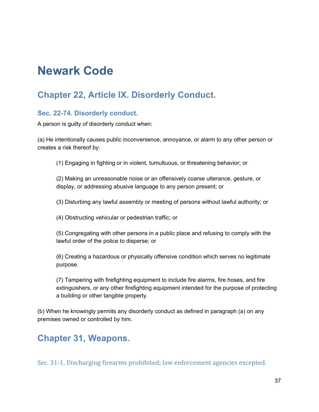# <span id="page-36-0"></span>**Newark Code**

# <span id="page-36-1"></span>**Chapter 22, Article IX. Disorderly Conduct.**

### <span id="page-36-2"></span>**Sec. 22-74. Disorderly conduct.**

A person is guilty of disorderly conduct when:

(a) He intentionally causes public inconvenience, annoyance, or alarm to any other person or creates a risk thereof by:

(1) Engaging in fighting or in violent, tumultuous, or threatening behavior; or

(2) Making an unreasonable noise or an offensively coarse utterance, gesture, or display, or addressing abusive language to any person present; or

(3) Disturbing any lawful assembly or meeting of persons without lawful authority; or

(4) Obstructing vehicular or pedestrian traffic; or

(5) Congregating with other persons in a public place and refusing to comply with the lawful order of the police to disperse; or

(6) Creating a hazardous or physically offensive condition which serves no legitimate purpose.

(7) Tampering with firefighting equipment to include fire alarms, fire hoses, and fire extinguishers, or any other firefighting equipment intended for the purpose of protecting a building or other tangible property.

(b) When he knowingly permits any disorderly conduct as defined in paragraph (a) on any premises owned or controlled by him.

# <span id="page-36-3"></span>**Chapter 31, Weapons.**

Sec. 31-1. Discharging firearms prohibited; law enforcement agencies excepted.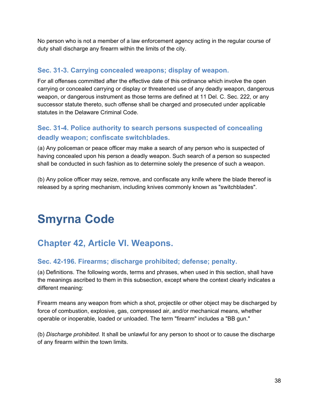No person who is not a member of a law enforcement agency acting in the regular course of duty shall discharge any firearm within the limits of the city.

# <span id="page-37-0"></span>**Sec. 31-3. Carrying concealed weapons; display of weapon.**

For all offenses committed after the effective date of this ordinance which involve the open carrying or concealed carrying or display or threatened use of any deadly weapon, dangerous weapon, or dangerous instrument as those terms are defined at 11 Del. C. Sec. 222, or any successor statute thereto, such offense shall be charged and prosecuted under applicable statutes in the Delaware Criminal Code.

# <span id="page-37-1"></span>**Sec. 31-4. Police authority to search persons suspected of concealing deadly weapon; confiscate switchblades.**

(a) Any policeman or peace officer may make a search of any person who is suspected of having concealed upon his person a deadly weapon. Such search of a person so suspected shall be conducted in such fashion as to determine solely the presence of such a weapon.

(b) Any police officer may seize, remove, and confiscate any knife where the blade thereof is released by a spring mechanism, including knives commonly known as "switchblades".

# <span id="page-37-2"></span>**Smyrna Code**

# <span id="page-37-3"></span>**Chapter 42, Article VI. Weapons.**

# <span id="page-37-4"></span>**Sec. 42-196. Firearms; discharge prohibited; defense; penalty.**

(a) Definitions. The following words, terms and phrases, when used in this section, shall have the meanings ascribed to them in this subsection, except where the context clearly indicates a different meaning:

Firearm means any weapon from which a shot, projectile or other object may be discharged by force of combustion, explosive, gas, compressed air, and/or mechanical means, whether operable or inoperable, loaded or unloaded. The term "firearm" includes a "BB gun."

(b) *Discharge prohibited.* It shall be unlawful for any person to shoot or to cause the discharge of any firearm within the town limits.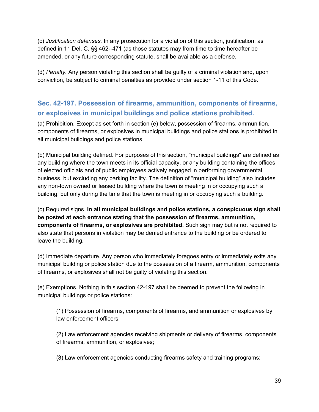(c) *Justification defenses.* In any prosecution for a violation of this section, justification, as defined in 11 Del. C. §§ 462--471 (as those statutes may from time to time hereafter be amended, or any future corresponding statute, shall be available as a defense.

(d) *Penalty.* Any person violating this section shall be guilty of a criminal violation and, upon conviction, be subject to criminal penalties as provided under section 1-11 of this Code.

# <span id="page-38-0"></span>**Sec. 42-197. Possession of firearms, ammunition, components of firearms, or explosives in municipal buildings and police stations prohibited.**

(a) Prohibition. Except as set forth in section (e) below, possession of firearms, ammunition, components of firearms, or explosives in municipal buildings and police stations is prohibited in all municipal buildings and police stations.

(b) Municipal building defined. For purposes of this section, "municipal buildings" are defined as any building where the town meets in its official capacity, or any building containing the offices of elected officials and of public employees actively engaged in performing governmental business, but excluding any parking facility. The definition of "municipal building" also includes any non-town owned or leased building where the town is meeting in or occupying such a building, but only during the time that the town is meeting in or occupying such a building.

(c) Required signs. **In all municipal buildings and police stations, a conspicuous sign shall be posted at each entrance stating that the possession of firearms, ammunition, components of firearms, or explosives are prohibited.** Such sign may but is not required to also state that persons in violation may be denied entrance to the building or be ordered to leave the building.

(d) Immediate departure. Any person who immediately foregoes entry or immediately exits any municipal building or police station due to the possession of a firearm, ammunition, components of firearms, or explosives shall not be guilty of violating this section.

(e) Exemptions. Nothing in this section 42-197 shall be deemed to prevent the following in municipal buildings or police stations:

(1) Possession of firearms, components of firearms, and ammunition or explosives by law enforcement officers;

(2) Law enforcement agencies receiving shipments or delivery of firearms, components of firearms, ammunition, or explosives;

(3) Law enforcement agencies conducting firearms safety and training programs;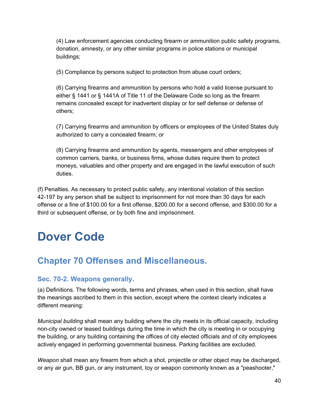(4) Law enforcement agencies conducting firearm or ammunition public safety programs, donation, amnesty, or any other similar programs in police stations or municipal buildings;

(5) Compliance by persons subject to protection from abuse court orders;

(6) Carrying firearms and ammunition by persons who hold a valid license pursuant to either § 1441 or § 1441A of Title 11 of the Delaware Code so long as the firearm remains concealed except for inadvertent display or for self defense or defense of others;

(7) Carrying firearms and ammunition by officers or employees of the United States duly authorized to carry a concealed firearm; or

(8) Carrying firearms and ammunition by agents, messengers and other employees of common carriers, banks, or business firms, whose duties require them to protect moneys, valuables and other property and are engaged in the lawful execution of such duties.

(f) Penalties. As necessary to protect public safety, any intentional violation of this section 42-197 by any person shall be subject to imprisonment for not more than 30 days for each offense or a fine of \$100.00 for a first offense, \$200.00 for a second offense, and \$300.00 for a third or subsequent offense, or by both fine and imprisonment.

# <span id="page-39-0"></span>**Dover Code**

# <span id="page-39-1"></span>**Chapter 70 Offenses and Miscellaneous.**

## <span id="page-39-2"></span>**Sec. 70-2. Weapons generally.**

(a) Definitions. The following words, terms and phrases, when used in this section, shall have the meanings ascribed to them in this section, except where the context clearly indicates a different meaning:

*Municipal building* shall mean any building where the city meets in its official capacity, including non-city owned or leased buildings during the time in which the city is meeting in or occupying the building, or any building containing the offices of city elected officials and of city employees actively engaged in performing governmental business. Parking facilities are excluded.

*Weapon* shall mean any firearm from which a shot, projectile or other object may be discharged, or any air gun, BB gun, or any instrument, toy or weapon commonly known as a "peashooter,"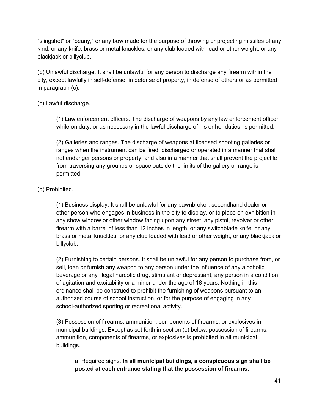"slingshot" or "beany," or any bow made for the purpose of throwing or projecting missiles of any kind, or any knife, brass or metal knuckles, or any club loaded with lead or other weight, or any blackjack or billyclub.

(b) Unlawful discharge. It shall be unlawful for any person to discharge any firearm within the city, except lawfully in self-defense, in defense of property, in defense of others or as permitted in paragraph (c).

(c) Lawful discharge.

(1) Law enforcement officers. The discharge of weapons by any law enforcement officer while on duty, or as necessary in the lawful discharge of his or her duties, is permitted.

(2) Galleries and ranges. The discharge of weapons at licensed shooting galleries or ranges when the instrument can be fired, discharged or operated in a manner that shall not endanger persons or property, and also in a manner that shall prevent the projectile from traversing any grounds or space outside the limits of the gallery or range is permitted.

(d) Prohibited.

(1) Business display. It shall be unlawful for any pawnbroker, secondhand dealer or other person who engages in business in the city to display, or to place on exhibition in any show window or other window facing upon any street, any pistol, revolver or other firearm with a barrel of less than 12 inches in length, or any switchblade knife, or any brass or metal knuckles, or any club loaded with lead or other weight, or any blackjack or billyclub.

(2) Furnishing to certain persons. It shall be unlawful for any person to purchase from, or sell, loan or furnish any weapon to any person under the influence of any alcoholic beverage or any illegal narcotic drug, stimulant or depressant, any person in a condition of agitation and excitability or a minor under the age of 18 years. Nothing in this ordinance shall be construed to prohibit the furnishing of weapons pursuant to an authorized course of school instruction, or for the purpose of engaging in any school-authorized sporting or recreational activity.

(3) Possession of firearms, ammunition, components of firearms, or explosives in municipal buildings. Except as set forth in section (c) below, possession of firearms, ammunition, components of firearms, or explosives is prohibited in all municipal buildings.

a. Required signs. **In all municipal buildings, a conspicuous sign shall be posted at each entrance stating that the possession of firearms,**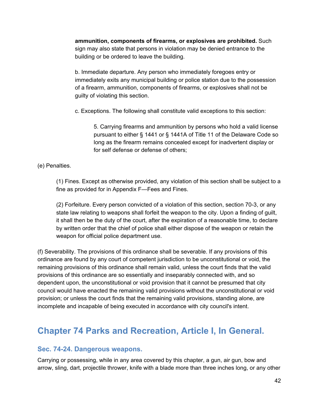**ammunition, components of firearms, or explosives are prohibited.** Such sign may also state that persons in violation may be denied entrance to the building or be ordered to leave the building.

b. Immediate departure. Any person who immediately foregoes entry or immediately exits any municipal building or police station due to the possession of a firearm, ammunition, components of firearms, or explosives shall not be guilty of violating this section.

c. Exceptions. The following shall constitute valid exceptions to this section:

5. Carrying firearms and ammunition by persons who hold a valid license pursuant to either § 1441 or § 1441A of Title 11 of the Delaware Code so long as the firearm remains concealed except for inadvertent display or for self defense or defense of others;

(e) Penalties.

(1) Fines. Except as otherwise provided, any violation of this section shall be subject to a fine as provided for in Appendix F—Fees and Fines.

(2) Forfeiture. Every person convicted of a violation of this section, section 70-3, or any state law relating to weapons shall forfeit the weapon to the city. Upon a finding of guilt, it shall then be the duty of the court, after the expiration of a reasonable time, to declare by written order that the chief of police shall either dispose of the weapon or retain the weapon for official police department use.

(f) Severability. The provisions of this ordinance shall be severable. If any provisions of this ordinance are found by any court of competent jurisdiction to be unconstitutional or void, the remaining provisions of this ordinance shall remain valid, unless the court finds that the valid provisions of this ordinance are so essentially and inseparably connected with, and so dependent upon, the unconstitutional or void provision that it cannot be presumed that city council would have enacted the remaining valid provisions without the unconstitutional or void provision; or unless the court finds that the remaining valid provisions, standing alone, are incomplete and incapable of being executed in accordance with city council's intent.

# <span id="page-41-0"></span>**Chapter 74 Parks and Recreation, Article I, In General.**

#### <span id="page-41-1"></span>**Sec. 74-24. Dangerous weapons.**

Carrying or possessing, while in any area covered by this chapter, a gun, air gun, bow and arrow, sling, dart, projectile thrower, knife with a blade more than three inches long, or any other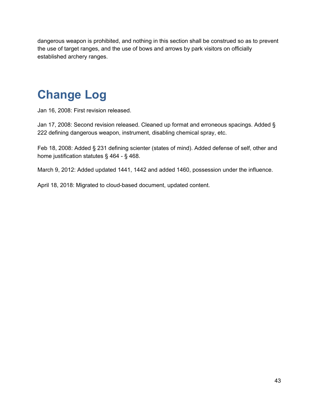dangerous weapon is prohibited, and nothing in this section shall be construed so as to prevent the use of target ranges, and the use of bows and arrows by park visitors on officially established archery ranges.

# <span id="page-42-0"></span>**Change Log**

Jan 16, 2008: First revision released.

Jan 17, 2008: Second revision released. Cleaned up format and erroneous spacings. Added § 222 defining dangerous weapon, instrument, disabling chemical spray, etc.

Feb 18, 2008: Added § 231 defining scienter (states of mind). Added defense of self, other and home justification statutes § 464 - § 468.

March 9, 2012: Added updated 1441, 1442 and added 1460, possession under the influence.

April 18, 2018: Migrated to cloud-based document, updated content.